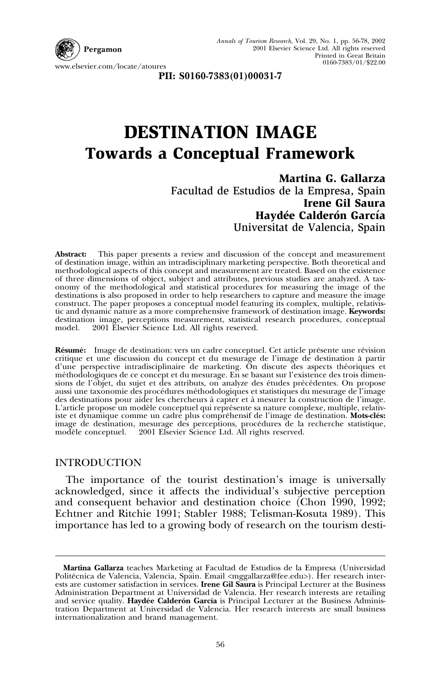

**PII: S0160-7383(01)00031-7**

## **DESTINATION IMAGE Towards a Conceptual Framework**

**Martina G. Gallarza** Facultad de Estudios de la Empresa, Spain **Irene Gil Saura Haydée Calderón García** Universitat de Valencia, Spain

**Abstract:** This paper presents a review and discussion of the concept and measurement of destination image, within an intradisciplinary marketing perspective. Both theoretical and methodological aspects of this concept and measurement are treated. Based on the existence of three dimensions of object, subject and attributes, previous studies are analyzed. A taxonomy of the methodological and statistical procedures for measuring the image of the destinations is also proposed in order to help researchers to capture and measure the image construct. The paper proposes a conceptual model featuring its complex, multiple, relativistic and dynamic nature as a more comprehensive framework of destination image. **Keywords:** destination image, perceptions measurement, statistical research procedures, conceptual model.  $\odot$  2001 Elsevier Science Ltd. All rights reserved.

Résumé: Image de destination: vers un cadre conceptuel. Cet article présente une révision critique et une discussion du concept et du mesurage de l'image de destination a` partir d'une perspective intradisciplinaire de marketing. On discute des aspects théoriques et méthodologiques de ce concept et du mesurage. En se basant sur l'existence des trois dimen-<br>sions de l'objet, du sujet et des attributs, on analyze des études précédentes. On propose aussi une taxonomie des procédures méthodologiques et statistiques du mesurage de l'image des destinations pour aider les chercheurs a` capter et a` mesurer la construction de l'image. L'article propose un modèle conceptuel qui représente sa nature complexe, multiple, relativ-<br>iste et dynamique comme un cadre plus compréhensif de l'image de destination. Mots-clés: iste et dynamique comme un cadre plus compréhensif de l'image de destination. **Mots-clés:**<br>image de destination, mesurage des perceptions, procédures de la recherche statistique, modèle conceptuel. © 2001 Elsevier Science Ltd. All rights reserved.

## INTRODUCTION

The importance of the tourist destination's image is universally acknowledged, since it affects the individual's subjective perception and consequent behavior and destination choice (Chon 1990, 1992; Echtner and Ritchie 1991; Stabler 1988; Telisman-Kosuta 1989). This importance has led to a growing body of research on the tourism desti-

**Martina Gallarza** teaches Marketing at Facultad de Estudios de la Empresa (Universidad Politécnica de Valencia, Valencia, Spain. Email <mggallarza@fee.edu>). Her research inter-<br>ests are customer satisfaction in services. **Irene Gil Saura** is Principal Lecturer at the Business Administration Department at Universidad de Valencia. Her research interests are retailing and service quality. Haydée Calderón García is Principal Lecturer at the Business Administration Department at Universidad de Valencia. Her research interests are small business internationalization and brand management.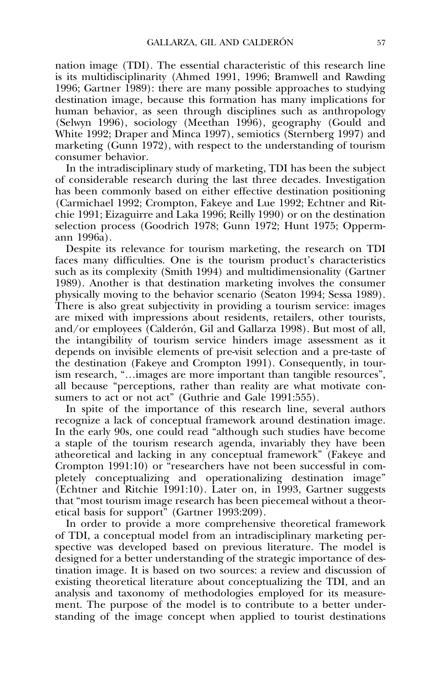nation image (TDI). The essential characteristic of this research line is its multidisciplinarity (Ahmed 1991, 1996; Bramwell and Rawding 1996; Gartner 1989): there are many possible approaches to studying destination image, because this formation has many implications for human behavior, as seen through disciplines such as anthropology (Selwyn 1996), sociology (Meethan 1996), geography (Gould and White 1992; Draper and Minca 1997), semiotics (Sternberg 1997) and marketing (Gunn 1972), with respect to the understanding of tourism consumer behavior.

In the intradisciplinary study of marketing, TDI has been the subject of considerable research during the last three decades. Investigation has been commonly based on either effective destination positioning (Carmichael 1992; Crompton, Fakeye and Lue 1992; Echtner and Ritchie 1991; Eizaguirre and Laka 1996; Reilly 1990) or on the destination selection process (Goodrich 1978; Gunn 1972; Hunt 1975; Oppermann 1996a).

Despite its relevance for tourism marketing, the research on TDI faces many difficulties. One is the tourism product's characteristics such as its complexity (Smith 1994) and multidimensionality (Gartner 1989). Another is that destination marketing involves the consumer physically moving to the behavior scenario (Seaton 1994; Sessa 1989). There is also great subjectivity in providing a tourism service: images are mixed with impressions about residents, retailers, other tourists, and/or employees (Calderón, Gil and Gallarza 1998). But most of all, the intangibility of tourism service hinders image assessment as it depends on invisible elements of pre-visit selection and a pre-taste of the destination (Fakeye and Crompton 1991). Consequently, in tourism research, "…images are more important than tangible resources", all because "perceptions, rather than reality are what motivate consumers to act or not act" (Guthrie and Gale 1991:555).

In spite of the importance of this research line, several authors recognize a lack of conceptual framework around destination image. In the early 90s, one could read "although such studies have become a staple of the tourism research agenda, invariably they have been atheoretical and lacking in any conceptual framework" (Fakeye and Crompton 1991:10) or "researchers have not been successful in completely conceptualizing and operationalizing destination image" (Echtner and Ritchie 1991:10). Later on, in 1993, Gartner suggests that "most tourism image research has been piecemeal without a theoretical basis for support" (Gartner 1993:209).

In order to provide a more comprehensive theoretical framework of TDI, a conceptual model from an intradisciplinary marketing perspective was developed based on previous literature. The model is designed for a better understanding of the strategic importance of destination image. It is based on two sources: a review and discussion of existing theoretical literature about conceptualizing the TDI, and an analysis and taxonomy of methodologies employed for its measurement. The purpose of the model is to contribute to a better understanding of the image concept when applied to tourist destinations